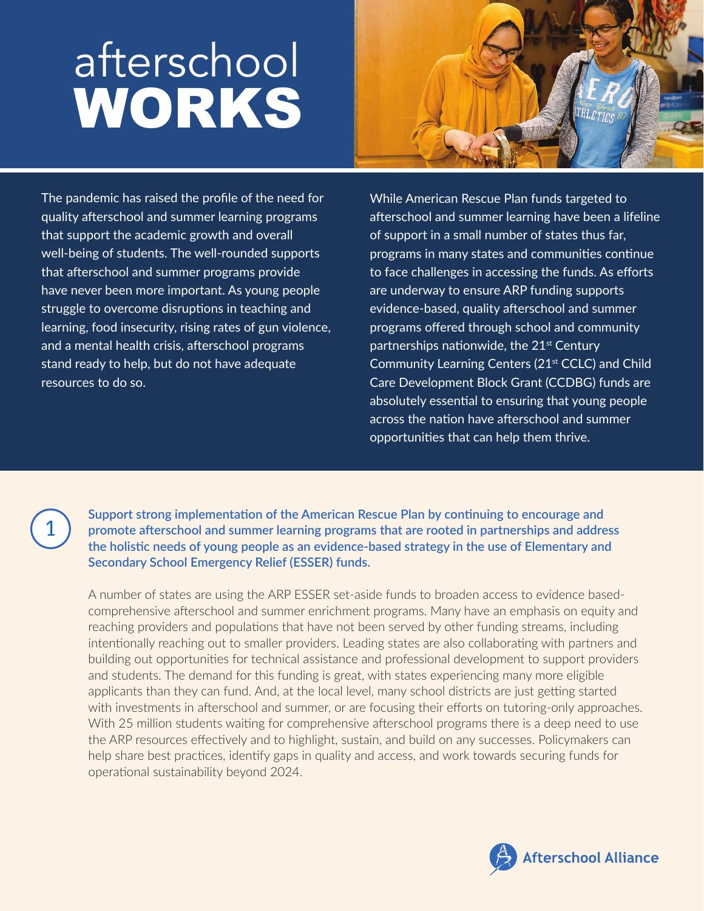## afterschool WORKS



The pandemic has raised the profile of the need for quality afterschool and summer learning programs that support the academic growth and overall well-being of students. The well-rounded supports that afterschool and summer programs provide have never been more important. As young people struggle to overcome disruptions in teaching and learning, food insecurity, rising rates of gun violence, and a mental health crisis, afterschool programs stand ready to help, but do not have adequate resources to do so.

While American Rescue Plan funds targeted to afterschool and summer learning have been a lifeline of support in a small number of states thus far, programs in many states and communities continue to face challenges in accessing the funds. As efforts are underway to ensure ARP funding supports evidence-based, quality afterschool and summer programs offered through school and community partnerships nationwide, the  $21<sup>st</sup>$  Century Community Learning Centers (21<sup>st</sup> CCLC) and Child Care Development Block Grant (CCDBG) funds are absolutely essential to ensuring that young people across the nation have afterschool and summer opportunities that can help them thrive.

<sup>1</sup> **Support strong implementation of the American Rescue Plan by continuing to encourage and promote afterschool and summer learning programs that are rooted in partnerships and address the holistic needs of young people as an evidence-based strategy in the use of Elementary and Secondary School Emergency Relief (ESSER) funds.**

A number of states are using the ARP ESSER set-aside funds to broaden access to evidence basedcomprehensive afterschool and summer enrichment programs. Many have an emphasis on equity and reaching providers and populations that have not been served by other funding streams, including intentionally reaching out to smaller providers. Leading states are also collaborating with partners and building out opportunities for technical assistance and professional development to support providers and students. The demand for this funding is great, with states experiencing many more eligible applicants than they can fund. And, at the local level, many school districts are just getting started with investments in afterschool and summer, or are focusing their efforts on tutoring-only approaches. With 25 million students waiting for comprehensive afterschool programs there is a deep need to use the ARP resources effectively and to highlight, sustain, and build on any successes. Policymakers can help share best practices, identify gaps in quality and access, and work towards securing funds for operational sustainability beyond 2024.